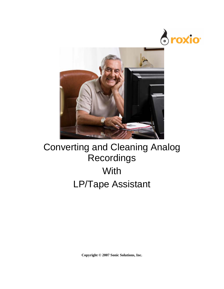



## Converting and Cleaning Analog **Recordings With** LP/Tape Assistant

**Copyright © 2007 Sonic Solutions, Inc.**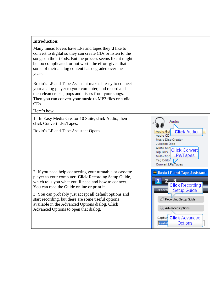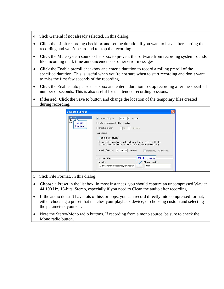- 4. Click General if not already selected. In this dialog.
- **Click** the Limit recording checkbox and set the duration if you want to leave after starting the recording and won't be around to stop the recording.
- **Click** the Mute system sounds checkbox to prevent the software from recording system sounds like incoming mail, time announcements or other error messages.
- **Click** the Enable preroll checkbox and enter a duration to record a rolling preroll of the specified duration. This is useful when you're not sure when to start recording and don't want to miss the first few seconds of the recording.
- **Click** the Enable auto pause checkbox and enter a duration to stop recording after the specified number of seconds. This is also useful for unattended recording sessions.
- If desired, **Click** the Save to button and change the location of the temporary files created during recording.

| General,<br>File For<br>Track<br><b>Click</b> | ✔ Limit recording to:<br>$-130$<br>Minutes<br><b>I+</b><br>Mute system sounds while recording                                                                                                                                                                            |
|-----------------------------------------------|--------------------------------------------------------------------------------------------------------------------------------------------------------------------------------------------------------------------------------------------------------------------------|
| General                                       | Enable preroll of<br>$+$<br>Seconds<br>$-10$                                                                                                                                                                                                                             |
|                                               | Auto pause<br>Enable auto pause<br>If you select this option, recording will pause if silence is detected for the<br>amount of time specified below. This is useful for unattended recording.<br>Length of silence:<br>$-15.0$ +<br>Seconds<br>Silence may contain noise |
|                                               | <b>Click Save to</b><br>Temporary files<br>File name prefix:<br>Save to:                                                                                                                                                                                                 |

- 5. Click File Format. In this dialog:
- **Choose** a Preset in the list box. In most instances, you should capture an uncompressed Wav at 44.100 Hz, 16-bits, Stereo, especially if you need to Clean the audio after recording.
- If the audio doesn't have lots of hiss or pops, you can record directly into compressed format, either choosing a preset that matches your playback device, or choosing custom and selecting the parameters yourself.
- Note the Stereo/Mono radio buttons. If recording from a mono source, be sure to check the Mono radio button.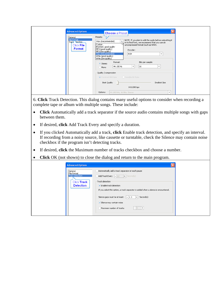| ◯ Variable Bit Rate<br>Constant Bit Rate | <b>Advanced Options</b><br>General<br>File Format<br>Track vection<br>Click File<br>Format | Choose a Preset<br>Presets:<br>NOTE: If you plan to edit the audio before outputting it<br>Wav (Recommended)<br>$\overline{\phantom{a}}$<br>in its final form, we recommend that you use an<br>Custom<br>uncompressed format (such as WAV).<br>IPod AAC good quality<br>MP3 (good quality)<br>Encoder:<br>MP3 (low quality)<br>Wav (Recommended)<br>PCM<br>$\overline{\mathbf{v}}$<br>WMA (good quality)<br>WMA (low quality)<br>Format:<br>Bits per sample:<br>· Stereo<br>44.100 Hz<br>16<br>$\mathbf{v}$<br>$\overline{\mathbf{v}}$<br>Mono<br>Quality / compression |
|------------------------------------------|--------------------------------------------------------------------------------------------|-------------------------------------------------------------------------------------------------------------------------------------------------------------------------------------------------------------------------------------------------------------------------------------------------------------------------------------------------------------------------------------------------------------------------------------------------------------------------------------------------------------------------------------------------------------------------|
|------------------------------------------|--------------------------------------------------------------------------------------------|-------------------------------------------------------------------------------------------------------------------------------------------------------------------------------------------------------------------------------------------------------------------------------------------------------------------------------------------------------------------------------------------------------------------------------------------------------------------------------------------------------------------------------------------------------------------------|

6. **Click** Track Detection. This dialog contains many useful options to consider when recording a complete tape or album with multiple songs. These include:

- **Click** Automatically add a track separator if the source audio contains multiple songs with gaps between them.
- If desired, **click** Add Track Every and specify a duration.
- If you clicked Automatically add a track, **click** Enable track detection, and specify an interval. If recording from a noisy source, like cassette or turntable, check the Silence may contain noise checkbox if the program isn't detecting tracks.
- If desired, **click** the Maximum number of tracks checkbox and choose a number.
- **Click** OK (not shown) to close the dialog and return to the main program.

| <b>Advanced Options</b><br>General<br>File Format<br>Track Detection<br>Click Track<br><b>Detection</b> | Automatically add a track separator on each pause<br>Add Track Every $\begin{vmatrix} - & 60 \\ - & + \end{vmatrix}$ Second(s)<br>$\sqsubset$ Track detection :<br>Enable track detection<br>If you select this option, a track separator is added when a silence is encountered. |  |
|---------------------------------------------------------------------------------------------------------|-----------------------------------------------------------------------------------------------------------------------------------------------------------------------------------------------------------------------------------------------------------------------------------|--|
|                                                                                                         | Silence gaps must be at least: $ - 1.3  +  $<br>Second(s)<br>Silence may contain noise<br>Maximum number of tracks:                                                                                                                                                               |  |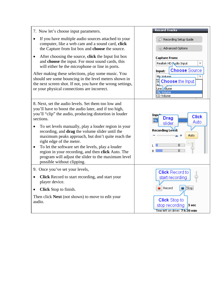| 7. Now let's choose input parameters.                                                                                                                                                                                                                                                                                                                                                                                                                                                                                                                                                                 | <b>Record Tracks</b>                                                                               |
|-------------------------------------------------------------------------------------------------------------------------------------------------------------------------------------------------------------------------------------------------------------------------------------------------------------------------------------------------------------------------------------------------------------------------------------------------------------------------------------------------------------------------------------------------------------------------------------------------------|----------------------------------------------------------------------------------------------------|
| If you have multiple audio sources attached to your<br>$\bullet$<br>computer, like a web cam and a sound card, click<br>the Capture from list box and choose the source.                                                                                                                                                                                                                                                                                                                                                                                                                              | Recording Setup Guide<br>Advanced Options                                                          |
| After choosing the source, click the Input list box<br>$\bullet$<br>and choose the input. For most sound cards, this<br>will either be the microphone or line in ports.<br>After making these selections, play some music. You<br>should see some bouncing in the level meters shown in                                                                                                                                                                                                                                                                                                               | <b>Capture From:</b><br>Realtek HD pudio Input<br><b>Choose</b> Source<br>Input:<br>Mic Volume     |
| the next screen shot. If not, you have the wrong settings,<br>or your physical connections are incorrect.                                                                                                                                                                                                                                                                                                                                                                                                                                                                                             | ন্ <mark>ন Choose</mark> the Input<br>Line <b>Jolume</b><br>Mic Volume<br>CD Volume                |
| 8. Next, set the audio levels. Set them too low and<br>you'll have to boost the audio later, and if too high,<br>you'll "clip" the audio, producing distortion in louder<br>sections.<br>To set levels manually, play a louder region in your<br>recording, and <b>drag</b> the volume slider until the<br>maximum peaks approach, but don't quite reach the<br>right edge of the meter.<br>To let the software set the levels, play a louder<br>$\bullet$<br>region in your recording, and then click Auto. The<br>program will adjust the slider to the maximum level<br>possible without clipping. | Inpy<br><b>Click</b><br><b>Drag</b><br>Mic<br>Auto.<br>slider<br>Recording Level:<br>Auto<br>Autip |
| 9. Once you've set your levels,<br>Click Record to start recording, and start your<br>$\bullet$<br>player device.<br><b>Click</b> Stop to finish.                                                                                                                                                                                                                                                                                                                                                                                                                                                     | <b>Click Record to</b><br>start recording<br>Stop<br>Record                                        |
| Then click <b>Next</b> (not shown) to move to edit your<br>audio.                                                                                                                                                                                                                                                                                                                                                                                                                                                                                                                                     | <b>Click</b> Stop to<br>stop recording<br>5 sec<br>Time left on drive: 7 h 20 min                  |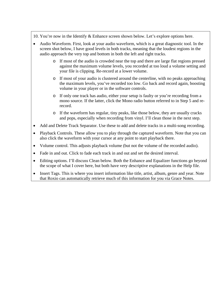10. You're now in the Identify & Enhance screen shown below. Let's explore options here.

- Audio Waveform. First, look at your audio waveform, which is a great diagnostic tool. In the screen shot below, I have good levels in both tracks, meaning that the loudest regions in the audio approach the very top and bottom in both the left and right tracks.
	- o If most of the audio is crowded near the top and there are large flat regions pressed against the maximum volume levels, you recorded at too loud a volume setting and your file is clipping. Re-record at a lower volume.
	- o If most of your audio is clustered around the centerline, with no peaks approaching the maximum levels, you've recorded too low. Go back and record again, boosting volume in your player or in the software controls.
	- o If only one track has audio, either your setup is faulty or you're recording from a mono source. If the latter, click the Mono radio button referred to in Step 5 and rerecord.
	- o If the waveform has regular, tiny peaks, like those below, they are usually cracks and pops, especially when recording from vinyl. I'll clean those in the next step.
- Add and Delete Track Separator. Use these to add and delete tracks in a multi-song recording.
- Playback Controls. These allow you to play through the captured waveform. Note that you can also click the waveform with your cursor at any point to start playback there.
- Volume control. This adjusts playback volume (but not the volume of the recorded audio).
- Fade in and out. Click to fade each track in and out and set the desired interval.
- Editing options. I'll discuss Clean below. Both the Enhance and Equalizer functions go beyond the scope of what I cover here, but both have very descriptive explanations in the Help file.
- Insert Tags. This is where you insert information like title, artist, album, genre and year. Note that Roxio can automatically retrieve much of this information for you via Grace Notes.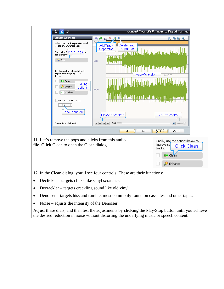

- Declicker targets clicks like vinyl scratches.
- Decrackler targets crackling sound like old vinyl.
- Denoiser targets hiss and rumble, most commonly found on cassettes and other tapes.
- Noise adjusts the intensity of the Denoiser.

Adjust these dials, and then test the adjustments by **clicking** the Play/Stop button until you achieve the desired reduction in noise without distorting the underlying music or speech content.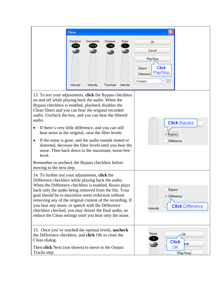|                                                                                                                                                                                                                                                                                                                                                                                                                                                                                                                                                                                                    | <b>Clean</b>           |                         |                       |                          |                                                                                                                  |
|----------------------------------------------------------------------------------------------------------------------------------------------------------------------------------------------------------------------------------------------------------------------------------------------------------------------------------------------------------------------------------------------------------------------------------------------------------------------------------------------------------------------------------------------------------------------------------------------------|------------------------|-------------------------|-----------------------|--------------------------|------------------------------------------------------------------------------------------------------------------|
|                                                                                                                                                                                                                                                                                                                                                                                                                                                                                                                                                                                                    | Declicker<br>Intensity | Decrackler<br>Intensity | Denoiser<br>Threshold | Noise<br>5.<br>Intensity | OK.<br>Cancel<br>Play/Stop<br><b>Click</b><br>Bypass<br>Play/Stop<br>Difference<br>闓<br><custom><br/>v.</custom> |
| 13. To test your adjustments, click the Bypass checkbox<br>on and off while playing back the audio. When the<br>Bypass checkbox is enabled, playback disables the<br>Clean filters and you can hear the original recorded<br>audio. Uncheck the box, and you can hear the filtered<br>audio.<br>If there's very little difference, and you can still<br>hear noise in the original, raise the filter levels.<br>If the noise is gone, and the audio sounds muted or<br>٠<br>distorted, decrease the filter levels until you hear the<br>noise. Then back down to the maximum, noise-free<br>level. |                        |                         |                       |                          | <b>Click Bypass</b><br>V Bypassi<br>Difference                                                                   |
| Remember to uncheck the Bypass checkbox before<br>moving to the next step.                                                                                                                                                                                                                                                                                                                                                                                                                                                                                                                         |                        |                         |                       |                          |                                                                                                                  |
| 14. To further test your adjustments, click the<br>Difference checkbox while playing back the audio.<br>When the Difference checkbox is enabled, Roxio plays<br>back only the audio being removed from the file. Your<br>goal should be to maximize noise reduction without<br>removing any of the original content of the recording. If<br>you hear any music or speech with the Difference<br>checkbox checked, you may distort the final audio, so<br>reduce the Clean settings until you hear only the noise.                                                                                  |                        |                         |                       |                          | Bypass<br>✔ Difference<br><b>Click Difference</b><br>Intensity                                                   |
| 15. Once you've reached the optimal levels, <b>uncheck</b><br>the Difference checkbox, and <b>click</b> OK to close the<br>Clean dialog.<br>Then <b>click</b> Next (not shown) to move to the Output<br>Tracks step.                                                                                                                                                                                                                                                                                                                                                                               |                        |                         |                       |                          | Noise<br>0K<br><b>Click</b><br>icel<br>ОK<br>Play/Stop                                                           |